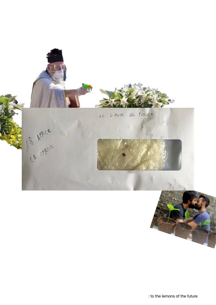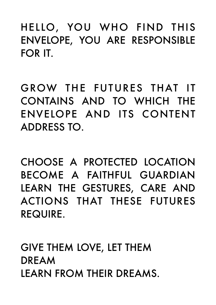HELLO, YOU WHO FIND THIS ENVELOPE, YOU ARE RESPONSIBLE FOR IT.

GROW THE FUTURES THAT IT CONTAINS AND TO WHICH THE ENVELOPE AND ITS CONTENT ADDRESS TO.

CHOOSE A PROTECTED LOCATION BECOME A FAITHFUL GUARDIAN LEARN THE GESTURES, CARE AND ACTIONS THAT THESE FUTURES REQUIRE.

GIVE THEM LOVE, LET THEM DREAM LEARN FROM THEIR DREAMS.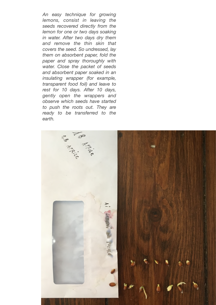*An easy technique for growing lemons, consist in leaving the seeds recovered directly from the lemon for one or two days soaking in water. After two days dry them and remove the thin skin that covers the seed. So undressed, lay them on absorbent paper, fold the paper and spray thoroughly with water. Close the packet of seeds and absorbent paper soaked in an insulating wrapper (for example, transparent food foil) and leave to rest for 10 days. After 10 days, gently open the wrappers and observe which seeds have started to push the roots out. They are ready to be transferred to the earth.* 

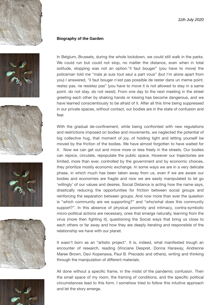











## **Biography of the Garden**

In Belgium, Brussels, during the whole lockdown, we could still walk in the parks. We could run but could not stop, no matter the distance, even when in total solitude, stopping was not an option."il faut bouger" (you have to move) the policeman told me "mais je suis tout seul a part vous" (but I'm alone apart from you) I answered, "il faut bouger n'est pas possible de rester dans un meme point. restez pas. ne resistez pas" (you have to move it is not allowed to stay in a same point. do not stay. do not resist). From one day to the next meeting in the street greeting each other by shaking hands or kissing has become dangerous, and we have learned conscientiously to be afraid of it. After all this time being suppressed in our private spaces, without contact, our bodies are in the state of confusion and fear.

With the gradual de-confinement, while being confronted with new regulations and restrictions imposed on bodies and movements, we neglected the potential of big collective hug, that moment of joy, of holding tight and letting yourself be moved by the friction of the bodies. We have almost forgotten to have waited for it. Now we can get out and move more or less freely in the streets. Our bodies can rejoice, circulate, repopulate the public space. However our trajectories are limited, more than ever, controlled by the government and by economic choices, they prioritize mostly economic exchange. In some ways we are in a very delicate phase, in which much has been taken away from us, even if we are aware our bodies and economies are fragile and now we are easily manipulated to let go 'willingly' of our values and desires. Social Distance is acting how the name says, drastically reducing the opportunities for friction between social groups and reinforcing the separation between groups. And now more than ever the question is "which community are we supporting?" and "who/what does this community support?". In this absence of physical proximity and intimacy, contra-symbolic micro-political actions are necessary, ones that emerge naturally, learning from the virus (more then fighting it), questioning the Social ways that bring us close to each others or far away and how they are deeply iterating and responsible of the relationship we have with our planet.

It wasn't born as an "artistic project". It is, indeed, what manifested trough an encounter of research, reading (Vinciane Despret, Donna Haraway, Andrenne Maree Brown, Davi Kopenawa, Paul B. Preciado and others), writing and thinking through the manipulation of different materials.

All done without a specific frame, in the midst of the pandemic confusion. Then the small space of my room, the framing of conditions, and the specific political circumstances lead to this form. I somehow tried to follow this intuitive approach and let the story emerge.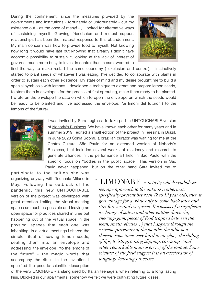During the confinement, since the measures provided by the governments and institutions - fortunately or unfortunately - cut my existence out - as the once of many! - , I looked for alternative ways of sustaining myself. Growing friendships and mutual support relationships has been the natural response to this abandonment. My main concern was how to provide food to myself. Not knowing how long it would have last but knowing that already I didn't have economic possibility to sustain it, looking at the lack of interest of governs, much more busy to invest in control than in care, worried to



find the way to make restart the same economy (+exclusion and control), I instinctively started to plant seeds of whatever I was eating. I've decided to collaborate with plants in order to sustain each other existence. My state of mind and my desire brought me to build a special symbiosis with lemons. I developed a technique to extract and prepare lemon seeds, to store them in envelopes for the process of first sprouting, make them ready to be planted. I wrote on the envelope the date on which to open the envelope on which the seeds would be ready to be planted and I've addressed the envelope: "ai limoni del futuro" ( to the lemons of the future).



I was invited by Sara Leghissa to take part in UNTOUCHABLE version of [Nobody's Business](http://www.casastrasse.org/ricerca/nobodys-business/)). We have known each other for many years and in summer 2019 I edited a small edition of the project in Teresina in Brazil. In June 2020 Sonia Sobral, a brazilian curator was waiting for me at the Centro Cultural São Paulo for an extended version of Nobody's Business, that included several weeks of residency and research to generate alliances in the performance art field in Sao Paulo with the specific focus on "bodies in the public space". This version in Sao Paulo never happened, but on the other hand Sara invited me to

participate to the edition she was organizing anyway with Triennale Milano in May. Following the outbreak of the pandemic, this new UNTOUCHABLE version of the project was developed with great attention limiting the virtual meeting spaces as much as possible and leaving an open space for practices shared in time but happening out of the virtual space in the physical spaces that each one was inhabiting. In a virtual meetings I shared the simple ritual of sowing lemon seeds, sealing them into an envelope and addressing the envelope "to the lemons of the future" - the magic words that accompany the ritual. In the invitation I specified the pseudo-scientific description

*\** LIMONARE *<sup>=</sup> activity which symbolizes teenage approach to the unknown otherness, specifically present between 12 to 19 year olds, then it gets vintage for a while only to come back later and stay forever and evergreen. It consists of a significant exchange of saliva and other entities (bacteria, chewing-gum, pieces of food trapped between the teeth, smells, viruses…) that happens through the extreme proximity of the mouths, the adhesion thereof (sometimes very hard to un-glue), the sliding of lips, twisting, oozing slipping, caressing (and other remarkable maneuvers…) of the tongue. Some scientist of the field suggest it is an accelerator of language learning processes.*

of the verb LIMONARE - a slang used by Italian teenagers when referring to a long lasting kiss. Blocked in our apartments, somehow we felt we were cultivating future kisses.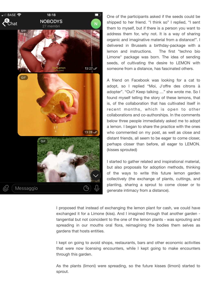

One of the participants asked if the seeds could be shipped to her friend. "I think so" I replied, "I sent them to myself, but if there is a person you want to address them for, why not. It is a way of sharing organic and imaginative material from a distance!". I delivered in Brussels a birthday-package with a lemon and instructions. The first "techno bio Limone" package was born. The idea of sending seeds, of cultivating the desire to LEMON with someone from a distance, has fascinated others.

A friend on Facebook was looking for a cat to adopt, so I replied "Moi, J'offre des citrons à adopter". "Oui? Keep talking …" she wrote me. So I found myself telling the story of these lemons, that is, of the collaboration that has cultivated itself in recent months, which is open to other collaborations and co-authorships. In the comments below three people immediately asked me to adopt a lemon. I began to share the practice with the ones who commented on my post, as well as close and distant friends, all seem to be eager to come closer, perhaps closer than before, all eager to LEMON. (kisses sprouted)

I started to gather related and inspirational material, but also proposals for adoption methods, thinking of the ways to write this future lemon garden collectively (the exchange of plants, cuttings, and planting, sharing a sprout to come closer or to generate intimacy from a distance).

I proposed that instead of exchanging the lemon plant for cash, we could have exchanged it for a Limone (kiss). And I imagined through that another garden tangential but not coincident to the one of the lemon plants - was sprouting and spreading in our mouths oral flora, reimagining the bodies them selves as gardens that hosts entities.

I kept on going to avoid shops, restaurants, bars and other economic activities that were now licensing encounters, while I kept going to make encounters through this garden.

As the plants (limoni) were spreading, so the future kisses (limoni) started to sprout.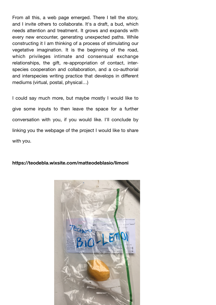From all this, a web page emerged. There I tell the story, and I invite others to collaborate. It's a draft, a bud, which needs attention and treatment. It grows and expands with every new encounter, generating unexpected paths. While constructing it I am thinking of a process of stimulating our vegetative imagination. It is the beginning of the road, which privileges intimate and consensual exchange relationships, the gift, re-appropriation of contact, interspecies cooperation and collaboration, and a co-authorial and interspecies writing practice that develops in different mediums (virtual, postal, physical…)

I could say much more, but maybe mostly I would like to give some inputs to then leave the space for a further conversation with you, if you would like. I'll conclude by linking you the webpage of the project I would like to share with you.

## **<https://teodebla.wixsite.com/matteodeblasio/limoni>**

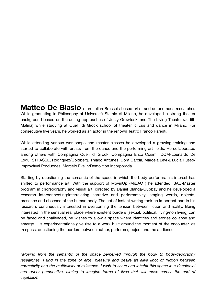**Matteo De Blasio** is an Italian Brussels-based artist and autonomous researcher. While graduating in Philosophy at Università Statale di Milano, he developed a strong theater background based on the acting approaches of Jerzy Growtoski and The Living Theater (Judith Malina) while studying at Quelli di Grock school of theater, circus and dance in Milano. For consecutive five years, he worked as an actor in the renown Teatro Franco Parenti.

While attending various workshops and master classes he developed a growing training and started to collaborate with artists from the dance and the performing art fields. He collaborated among others with Compagnia Quelli di Grock, Compagnia Enzo Cosimi, DOM-Loenardo De Logu, STRASSE, Rodriguez/Goldberg, Thiago Antunes, Dora Garcia, Marcela Levi & Lucia Russo/ Improvàvel Producoes, Marcelo Evelin/Demolition Incorporada.

Starting by questioning the semantic of the space in which the body performs, his interest has shifted to performance art. With the support of MovinUp (MiBACT) he attended ISAC-Master program in choreography and visual art, directed by Daniel Blanga-Gubbay and he developed a research interconnecting/interrelating narrative and performativity, staging words, objects, presence and absence of the human body. The act of instant writing took an important part in his research, continuously interested in overcoming the tension between fiction and reality. Being interested in the sensual real place where existent borders (sexual, political, living/non living) can be faced and challenged, he wishes to allow a space where identities and stories collapse and emerge. His experimentations give rise to a work built around the moment of the encounter, as trespass, questioning the borders between author, performer, object and the audience.

*"Moving from the semantic of the space perceived through the body to body-geography researches, I find in the zone of eros, pleasure and desire an alive knot of friction between normativity and the multiplicity of existence. I wish to share and inhabit this space in a decolonial*  and queer perspective, aiming to imagine forms of lives that will move across the end of *capitalism"*